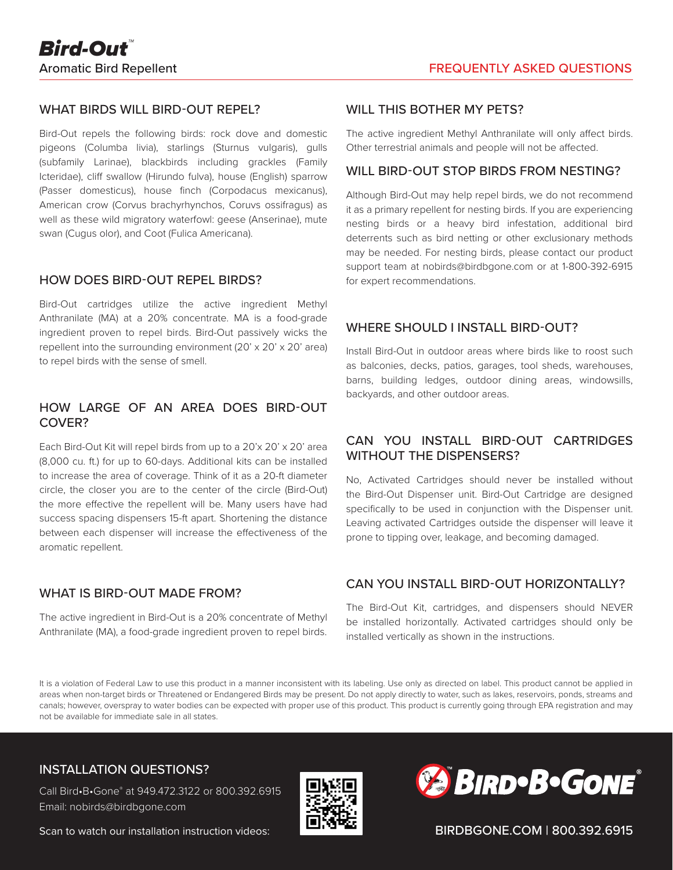## WHAT BIRDS WILL BIRD-OUT REPEL?

Bird-Out repels the following birds: rock dove and domestic pigeons (Columba livia), starlings (Sturnus vulgaris), gulls (subfamily Larinae), blackbirds including grackles (Family Icteridae), cliff swallow (Hirundo fulva), house (English) sparrow (Passer domesticus), house finch (Corpodacus mexicanus), American crow (Corvus brachyrhynchos, Coruvs ossifragus) as well as these wild migratory waterfowl: geese (Anserinae), mute swan (Cugus olor), and Coot (Fulica Americana).

#### HOW DOES BIRD-OUT REPEL BIRDS?

Bird-Out cartridges utilize the active ingredient Methyl Anthranilate (MA) at a 20% concentrate. MA is a food-grade ingredient proven to repel birds. Bird-Out passively wicks the repellent into the surrounding environment (20' x 20' x 20' area) to repel birds with the sense of smell.

## HOW LARGE OF AN AREA DOES BIRD-OUT COVER?

Each Bird-Out Kit will repel birds from up to a 20'x 20' x 20' area (8,000 cu. ft.) for up to 60-days. Additional kits can be installed to increase the area of coverage. Think of it as a 20-ft diameter circle, the closer you are to the center of the circle (Bird-Out) the more effective the repellent will be. Many users have had success spacing dispensers 15-ft apart. Shortening the distance between each dispenser will increase the effectiveness of the aromatic repellent.

#### WHAT IS BIRD-OUT MADE FROM?

The active ingredient in Bird-Out is a 20% concentrate of Methyl Anthranilate (MA), a food-grade ingredient proven to repel birds.

#### WILL THIS BOTHER MY PETS?

The active ingredient Methyl Anthranilate will only affect birds. Other terrestrial animals and people will not be affected.

#### WILL BIRD-OUT STOP BIRDS FROM NESTING?

Although Bird-Out may help repel birds, we do not recommend it as a primary repellent for nesting birds. If you are experiencing nesting birds or a heavy bird infestation, additional bird deterrents such as bird netting or other exclusionary methods may be needed. For nesting birds, please contact our product support team at nobirds@birdbgone.com or at 1-800-392-6915 for expert recommendations.

#### WHERE SHOULD I INSTALL BIRD-OUT?

Install Bird-Out in outdoor areas where birds like to roost such as balconies, decks, patios, garages, tool sheds, warehouses, barns, building ledges, outdoor dining areas, windowsills, backyards, and other outdoor areas.

# CAN YOU INSTALL BIRD-OUT CARTRIDGES WITHOUT THE DISPENSERS?

No, Activated Cartridges should never be installed without the Bird-Out Dispenser unit. Bird-Out Cartridge are designed specifically to be used in conjunction with the Dispenser unit. Leaving activated Cartridges outside the dispenser will leave it prone to tipping over, leakage, and becoming damaged.

### CAN YOU INSTALL BIRD-OUT HORIZONTALLY?

The Bird-Out Kit, cartridges, and dispensers should NEVER be installed horizontally. Activated cartridges should only be installed vertically as shown in the instructions.

It is a violation of Federal Law to use this product in a manner inconsistent with its labeling. Use only as directed on label. This product cannot be applied in areas when non-target birds or Threatened or Endangered Birds may be present. Do not apply directly to water, such as lakes, reservoirs, ponds, streams and canals; however, overspray to water bodies can be expected with proper use of this product. This product is currently going through EPA registration and may not be available for immediate sale in all states.

## INSTALLATION QUESTIONS?

Call Bird•B•Gone® at 949.472.3122 or 800.392.6915 Email: nobirds@birdbgone.com

Scan to watch our installation instruction videos:





BIRDBGONE.COM | 800.392.6915